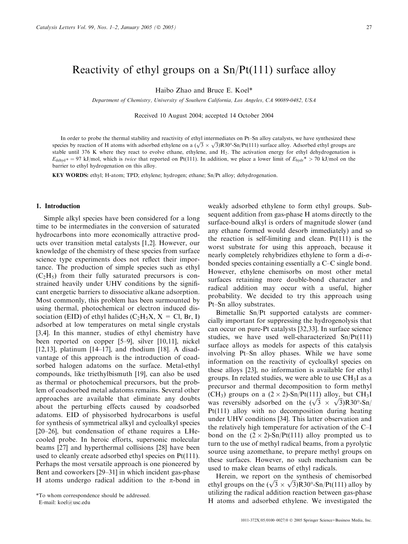# Reactivity of ethyl groups on a Sn/Pt(111) surface alloy

Haibo Zhao and Bruce E. Koel\*

Department of Chemistry, University of Southern California, Los Angeles, CA 90089-0482, USA

Received 10 August 2004; accepted 14 October 2004

In order to probe the thermal stability and reactivity of ethyl intermediates on Pt–Sn alloy catalysts, we have synthesized these In order to probe the thermal stability and reactivity of ethyl intermediates on  $r$ -31 andy catalysts, we have symmestized these species by reaction of H atoms with adsorbed ethylene on a  $(\sqrt{3} \times \sqrt{3})R30^{\circ}$ -Sn/Pt(111) stable until 376 K where they react to evolve ethane, ethylene, and  $H_2$ . The activation energy for ethyl dehydrogenation is  $E_{\text{delay}}$  = 97 kJ/mol, which is twice that reported on Pt(111). In addition, we place a lower limit of  $E_{\text{hydr}}$   $\approx$  70 kJ/mol on the barrier to ethyl hydrogenation on this alloy.

KEY WORDS: ethyl; H-atom; TPD; ethylene; hydrogen; ethane; Sn/Pt alloy; dehydrogenation.

## 1. Introduction

Simple alkyl species have been considered for a long time to be intermediates in the conversion of saturated hydrocarbons into more economically attractive products over transition metal catalysts [1,2]. However, our knowledge of the chemistry of these species from surface science type experiments does not reflect their importance. The production of simple species such as ethyl  $(C<sub>2</sub>H<sub>5</sub>)$  from their fully saturated precursors is constrained heavily under UHV conditions by the significant energetic barriers to dissociative alkane adsorption. Most commonly, this problem has been surmounted by using thermal, photochemical or electron induced dissociation (EID) of ethyl halides ( $C_2H_5X$ ,  $X = Cl$ , Br, I) adsorbed at low temperatures on metal single crystals [3,4]. In this manner, studies of ethyl chemistry have been reported on copper [5–9], silver [10,11], nickel [12,13], platinum [14–17], and rhodium [18]. A disadvantage of this approach is the introduction of coadsorbed halogen adatoms on the surface. Metal-ethyl compounds, like triethylbismuth [19], can also be used as thermal or photochemical precursors, but the problem of coadsorbed metal adatoms remains. Several other approaches are available that eliminate any doubts about the perturbing effects caused by coadsorbed adatoms. EID of physisorbed hydrocarbons is useful for synthesis of symmetrical alkyl and cycloalkyl species [20–26], but condensation of ethane requires a LHecooled probe. In heroic efforts, supersonic molecular beams [27] and hyperthermal collisions [28] have been used to cleanly create adsorbed ethyl species on Pt(111). Perhaps the most versatile approach is one pioneered by Bent and coworkers [29–31] in which incident gas-phase H atoms undergo radical addition to the  $\pi$ -bond in

weakly adsorbed ethylene to form ethyl groups. Subsequent addition from gas-phase H atoms directly to the surface-bound alkyl is orders of magnitude slower (and any ethane formed would desorb immediately) and so the reaction is self-limiting and clean.  $Pt(111)$  is the worst substrate for using this approach, because it nearly completely rehybridizes ethylene to form a di- $\sigma$ bonded species containing essentially a C–C single bond. However, ethylene chemisorbs on most other metal surfaces retaining more double-bond character and radical addition may occur with a useful, higher probability. We decided to try this approach using Pt–Sn alloy substrates.

Bimetallic Sn/Pt supported catalysts are commercially important for suppressing the hydrogenolysis that can occur on pure-Pt catalysts [32,33]. In surface science studies, we have used well-characterized Sn/Pt(111) surface alloys as models for aspects of this catalysis involving Pt–Sn alloy phases. While we have some information on the reactivity of cycloalkyl species on these alloys [23], no information is available for ethyl groups. In related studies, we were able to use  $CH<sub>3</sub>I$  as a precursor and thermal decomposition to form methyl (CH<sub>3</sub>) groups on a  $(2 \times 2)$ -Sn/Pt(111) alloy, but CH<sub>3</sub>I (CH<sub>3</sub>) groups on a  $(2 \times 2)$ -Sn/Pt(111) alloy, but CH<sub>3</sub>1<br>was reversibly adsorbed on the  $(\sqrt{3} \times \sqrt{3})$ R30°-Sn/ Pt(111) alloy with no decomposition during heating under UHV conditions [34]. This latter observation and the relatively high temperature for activation of the C–I bond on the  $(2 \times 2)$ -Sn/Pt(111) alloy prompted us to turn to the use of methyl radical beams, from a pyrolytic source using azomethane, to prepare methyl groups on these surfaces. However, no such mechanism can be used to make clean beams of ethyl radicals.

Herein, we report on the synthesis of chemisorbed Freight we report on the symmests of chemisorbed<br>ethyl groups on the  $(\sqrt{3} \times \sqrt{3})$ R30°-Sn/Pt(111) alloy by utilizing the radical addition reaction between gas-phase To whom correspondence should be addressed.<br>E-mail: koel@usc.edu be addressed. Here are hould be addressed.<br>Here are added adsorbed ethylene. We investigated the

E-mail: koel@usc.edu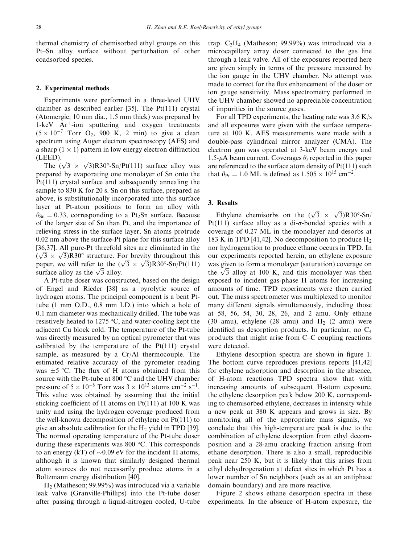thermal chemistry of chemisorbed ethyl groups on this Pt–Sn alloy surface without perturbation of other coadsorbed species.

## 2. Experimental methods

Experiments were performed in a three-level UHV chamber as described earlier [35]. The Pt(111) crystal (Atomergic; 10 mm dia., 1.5 mm thick) was prepared by  $1-keV$  Ar<sup> $+$ </sup>-ion sputtering and oxygen treatments  $(5 \times 10^{-7}$  Torr O<sub>2</sub>, 900 K, 2 min) to give a clean spectrum using Auger electron spectroscopy (AES) and a sharp  $(1 \times 1)$  pattern in low energy electron diffraction (LEED).

EED).<br>The  $(\sqrt{3} \times \sqrt{3})R30^{\circ}$ -Sn/Pt(111) surface alloy was prepared by evaporating one monolayer of Sn onto the Pt(111) crystal surface and subsequently annealing the sample to 830 K for 20 s. Sn on this surface, prepared as above, is substitutionally incorporated into this surface layer at Pt-atom positions to form an alloy with  $\theta_{\text{Sn}} = 0.33$ , corresponding to a Pt<sub>2</sub>Sn surface. Because of the larger size of Sn than Pt, and the importance of relieving stress in the surface layer, Sn atoms protrude 0.02 nm above the surface-Pt plane for this surface alloy [36,37]. All pure-Pt threefold sites are eliminated in the [50,57]. All pure-Pt threefold sites are eliminated in the  $(\sqrt{3} \times \sqrt{3})$ R30° structure. For brevity throughout this ( $\sqrt{3} \times \sqrt{3}$ )K30<sup>-</sup> structure. For previty infoughout this paper, we will refer to the  $(\sqrt{3} \times \sqrt{3})$ R30<sup>o</sup>-Sn/Pt(111) paper, we will refer to the ( $\sqrt{3}$  alloy.

A Pt-tube doser was constructed, based on the design of Engel and Rieder [38] as a pyrolytic source of hydrogen atoms. The principal component is a bent Pttube (1 mm O.D., 0.8 mm I.D.) into which a hole of 0.1 mm diameter was mechanically drilled. The tube was resistively heated to 1275  $\degree$ C, and water-cooling kept the adjacent Cu block cold. The temperature of the Pt-tube was directly measured by an optical pyrometer that was calibrated by the temperature of the Pt(111) crystal sample, as measured by a Cr/Al thermocouple. The estimated relative accuracy of the pyrometer reading was  $\pm$  5 °C. The flux of H atoms obtained from this source with the Pt-tube at  $800\text{ °C}$  and the UHV chamber pressure of  $5 \times 10^{-8}$  Torr was  $3 \times 10^{13}$  atoms cm<sup>-2</sup> s<sup>-1</sup>. This value was obtained by assuming that the initial sticking coefficient of H atoms on  $Pt(111)$  at 100 K was unity and using the hydrogen coverage produced from the well-known decomposition of ethylene on Pt(111) to give an absolute calibration for the  $H<sub>2</sub>$  yield in TPD [39]. The normal operating temperature of the Pt-tube doser during these experiments was  $800 \degree C$ . This corresponds to an energy (kT) of  $\sim 0.09$  eV for the incident H atoms, although it is known that similarly designed thermal atom sources do not necessarily produce atoms in a Boltzmann energy distribution [40].

H2 (Matheson; 99.99%) was introduced via a variable leak valve (Granville-Phillips) into the Pt-tube doser after passing through a liquid-nitrogen cooled, U-tube trap.  $C_2H_4$  (Matheson; 99.99%) was introduced via a microcapillary array doser connected to the gas line through a leak valve. All of the exposures reported here are given simply in terms of the pressure measured by the ion gauge in the UHV chamber. No attempt was made to correct for the flux enhancement of the doser or ion gauge sensitivity. Mass spectrometry performed in the UHV chamber showed no appreciable concentration of impurities in the source gases.

For all TPD experiments, the heating rate was  $3.6$  K/s and all exposures were given with the surface temperature at 100 K. AES measurements were made with a double-pass cylindrical mirror analyzer (CMA). The electron gun was operated at 3-keV beam energy and 1.5- $\mu$ A beam current. Coverages  $\theta_i$  reported in this paper are referenced to the surface atom density of Pt(111) such that  $\theta_{\text{Pt}} = 1.0$  ML is defined as  $1.505 \times 10^{15}$  cm<sup>-2</sup>.

#### 3. Results

Ethylene chemisorbs on the  $(\sqrt{3} \times \sqrt{3})R30^{\circ}$ -Sn/ Pt(111) surface alloy as a di- $\sigma$ -bonded species with a coverage of 0.27 ML in the monolayer and desorbs at 183 K in TPD [41,42]. No decomposition to produce  $H_2$ nor hydrogenation to produce ethane occurs in TPD. In our experiments reported herein, an ethylene exposure was given to form a monolayer (saturation) coverage on was given to form a monolayer (saturation) coverage on<br>the  $\sqrt{3}$  alloy at 100 K, and this monolayer was then exposed to incident gas-phase H atoms for increasing amounts of time. TPD experiments were then carried out. The mass spectrometer was multiplexed to monitor many different signals simultaneously, including those at 58, 56, 54, 30, 28, 26, and 2 amu. Only ethane (30 amu), ethylene (28 amu) and  $H<sub>2</sub>$  (2 amu) were identified as desorption products. In particular, no  $C_4$ products that might arise from C–C coupling reactions were detected.

Ethylene desorption spectra are shown in figure 1. The bottom curve reproduces previous reports [41,42] for ethylene adsorption and desorption in the absence, of H-atom reactions TPD spectra show that with increasing amounts of subsequent H-atom exposure, the ethylene desorption peak below 200 K, corresponding to chemisorbed ethylene, decreases in intensity while a new peak at 380 K appears and grows in size. By monitoring all of the appropriate mass signals, we conclude that this high-temperature peak is due to the combination of ethylene desorption from ethyl decomposition and a 28-amu cracking fraction arising from ethane desorption. There is also a small, reproducible peak near 250 K, but it is likely that this arises from ethyl dehydrogenation at defect sites in which Pt has a lower number of Sn neighbors (such as at an antiphase domain boundary) and are more reactive.

Figure 2 shows ethane desorption spectra in these experiments. In the absence of H-atom exposure, the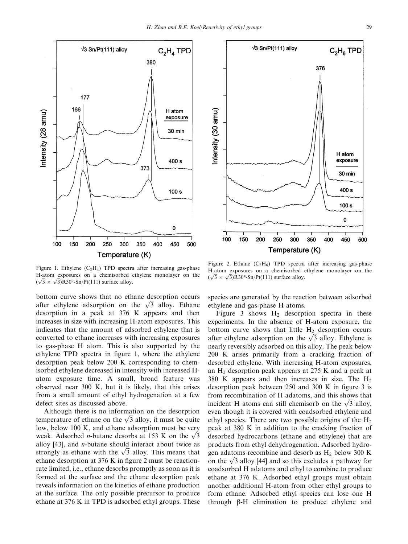



Figure 1. Ethylene  $(C_2H_4)$  TPD spectra after increasing gas-phase H-atom exposures on a chemisorbed ethylene monolayer on the  $(\sqrt{3} \times \sqrt{3})$ R30°-Sn/Pt(111) surface alloy.

bottom curve shows that no ethane desorption occurs bottom curve shows that no ethane desorption occurs<br>after ethylene adsorption on the  $\sqrt{3}$  alloy. Ethane desorption in a peak at 376 K appears and then increases in size with increasing H-atom exposures. This indicates that the amount of adsorbed ethylene that is converted to ethane increases with increasing exposures to gas-phase H atom. This is also supported by the ethylene TPD spectra in figure 1, where the ethylene desorption peak below 200 K corresponding to chemisorbed ethylene decreased in intensity with increased Hatom exposure time. A small, broad feature was observed near 300 K, but it is likely, that this arises from a small amount of ethyl hydrogenation at a few defect sites as discussed above.

Although there is no information on the desorption Although there is no information on the desorption<br>temperature of ethane on the  $\sqrt{3}$  alloy, it must be quite low, below 100 K, and ethane adsorption must be very weak. Adsorbed *n*-butane desorbs at 153 K on the  $\sqrt{3}$ alloy  $[43]$ , and *n*-butane should interact about twice as alloy [45], and *n*-butane should interact about twice as strongly as ethane with the  $\sqrt{3}$  alloy. This means that ethane desorption at 376 K in figure 2 must be reactionrate limited, i.e., ethane desorbs promptly as soon as it is formed at the surface and the ethane desorption peak reveals information on the kinetics of ethane production at the surface. The only possible precursor to produce ethane at 376 K in TPD is adsorbed ethyl groups. These

Figure 2. Ethane  $(C_2H_6)$  TPD spectra after increasing gas-phase H-atom exposures on a chemisorbed ethylene monolayer on the  $(\sqrt{3} \times \sqrt{3})$ R30°-Sn/Pt(111) surface alloy.

species are generated by the reaction between adsorbed ethylene and gas-phase H atoms.

Figure 3 shows  $H_2$  desorption spectra in these experiments. In the absence of H-atom exposure, the bottom curve shows that little  $H_2$  desorption occurs bottom curve shows that fittle  $H_2$  desorption occurs after ethylene adsorption on the  $\sqrt{3}$  alloy. Ethylene is nearly reversibly adsorbed on this alloy. The peak below 200 K arises primarily from a cracking fraction of desorbed ethylene. With increasing H-atom exposures, an  $H_2$  desorption peak appears at 275 K and a peak at 380 K appears and then increases in size. The  $H_2$ desorption peak between 250 and 300 K in figure 3 is from recombination of H adatoms, and this shows that from recombination of H adatoms, and this shows that incident H atoms can still chemisorb on the  $\sqrt{3}$  alloy, even though it is covered with coadsorbed ethylene and ethyl species. There are two possible origins of the  $H_2$ peak at 380 K in addition to the cracking fraction of desorbed hydrocarbons (ethane and ethylene) that are products from ethyl dehydrogenation. Adsorbed hydrogen adatoms recombine and desorb as  $H<sub>2</sub>$  below 300 K gen adatoms recombine and desorb as  $H_2$  below 500 K<br>on the  $\sqrt{3}$  alloy [44] and so this excludes a pathway for coadsorbed H adatoms and ethyl to combine to produce ethane at 376 K. Adsorbed ethyl groups must obtain another additional H-atom from other ethyl groups to form ethane. Adsorbed ethyl species can lose one H through b-H elimination to produce ethylene and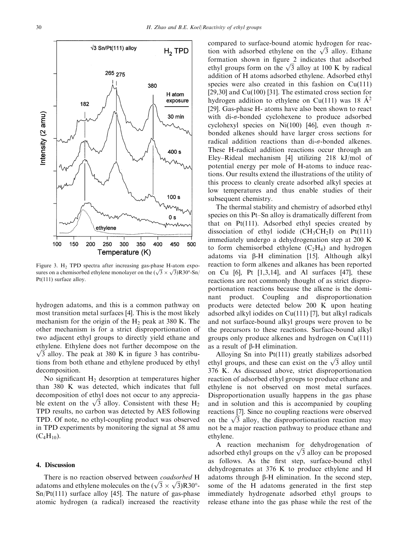

Figure 3.  $H_2$  TPD spectra after increasing gas-phase H-atom expo-Figure 5.  $H_2$  TPD spectra after increasing gas-phase H-atom exposures on a chemisorbed ethylene monolayer on the  $(\sqrt{3} \times \sqrt{3})R30^\circ$ -Sn/ Pt(111) surface alloy.

hydrogen adatoms, and this is a common pathway on most transition metal surfaces [4]. This is the most likely mechanism for the origin of the  $H_2$  peak at 380 K. The other mechanism is for a strict disproportionation of two adjacent ethyl groups to directly yield ethane and ethylene. Ethylene does not further decompose on the ethylene. Ethylene does not further decompose on the  $\sqrt{3}$  alloy. The peak at 380 K in figure 3 has contributions from both ethane and ethylene produced by ethyl decomposition.

No significant  $H_2$  desorption at temperatures higher than 380 K was detected, which indicates that full decomposition of ethyl does not occur to any appreciadecomposition of ethyl does not occur to any appreciable extent on the  $\sqrt{3}$  alloy. Consistent with these  $H_2$ TPD results, no carbon was detected by AES following TPD. Of note, no ethyl-coupling product was observed in TPD experiments by monitoring the signal at 58 amu  $(C_4H_{10})$ .

## 4. Discussion

There is no reaction observed between coadsorbed H There is no reaction observed between *coadsorbed* H<br>adatoms and ethylene molecules on the  $(\sqrt{3} \times \sqrt{3})$ R30<sup>o</sup>-Sn/Pt(111) surface alloy [45]. The nature of gas-phase atomic hydrogen (a radical) increased the reactivity compared to surface-bound atomic hydrogen for reaccompared to surface-bound atomic hydrogen for reaction with adsorbed ethylene on the  $\sqrt{3}$  alloy. Ethane formation shown in figure 2 indicates that adsorbed formation shown in ligure 2 moleates that adsorbed<br>ethyl groups form on the  $\sqrt{3}$  alloy at 100 K by radical addition of H atoms adsorbed ethylene. Adsorbed ethyl species were also created in this fashion on Cu(111) [29,30] and Cu(100) [31]. The estimated cross section for hydrogen addition to ethylene on Cu(111) was 18  $\AA$ <sup>2</sup> [29]. Gas-phase H- atoms have also been shown to react with  $di$ - $\sigma$ -bonded cyclohexene to produce adsorbed cyclohexyl species on Ni(100) [46], even though  $\pi$ bonded alkenes should have larger cross sections for radical addition reactions than  $di$ - $\sigma$ -bonded alkenes. These H-radical addition reactions occur through an Eley–Rideal mechanism [4] utilizing 218 kJ/mol of potential energy per mole of H-atoms to induce reactions. Our results extend the illustrations of the utility of this process to cleanly create adsorbed alkyl species at low temperatures and thus enable studies of their subsequent chemistry.

The thermal stability and chemistry of adsorbed ethyl species on this Pt–Sn alloy is dramatically different from that on Pt(111). Adsorbed ethyl species created by dissociation of ethyl iodide  $(CH_3CH_2I)$  on Pt(111) immediately undergo a dehydrogenation step at 200 K to form chemisorbed ethylene  $(C_2H_4)$  and hydrogen adatoms via  $\beta$ -H elimination [15]. Although alkyl reaction to form alkenes and alkanes has been reported on Cu [6], Pt [1,3,14], and Al surfaces [47], these reactions are not commonly thought of as strict disproportionation reactions because the alkene is the dominant product. Coupling and disproportionation products were detected below 200 K upon heating adsorbed alkyl iodides on Cu(111) [7], but alkyl radicals and not surface-bound alkyl groups were proven to be the precursors to these reactions. Surface-bound alkyl groups only produce alkenes and hydrogen on Cu(111) as a result of  $\beta$ -H elimination.

Alloying Sn into Pt(111) greatly stabilizes adsorbed Alloying Sn into Pt(111) greatly stabilizes adsorbed<br>ethyl groups, and these can exist on the  $\sqrt{3}$  alloy until 376 K. As discussed above, strict disproportionation reaction of adsorbed ethyl groups to produce ethane and ethylene is not observed on most metal surfaces. Disproportionation usually happens in the gas phase and in solution and this is accompanied by coupling reactions [7]. Since no coupling reactions were observed reactions  $\frac{1}{1}$ . Since no coupling reactions were observed<br>on the  $\sqrt{3}$  alloy, the disproportionation reaction may not be a major reaction pathway to produce ethane and ethylene.

A reaction mechanism for dehydrogenation of A reaction mechanism for denyarogenation of adsorbed ethyl groups on the  $\sqrt{3}$  alloy can be proposed as follows. As the first step, surface-bound ethyl dehydrogenates at 376 K to produce ethylene and H adatoms through  $\beta$ -H elimination. In the second step, some of the H adatoms generated in the first step immediately hydrogenate adsorbed ethyl groups to release ethane into the gas phase while the rest of the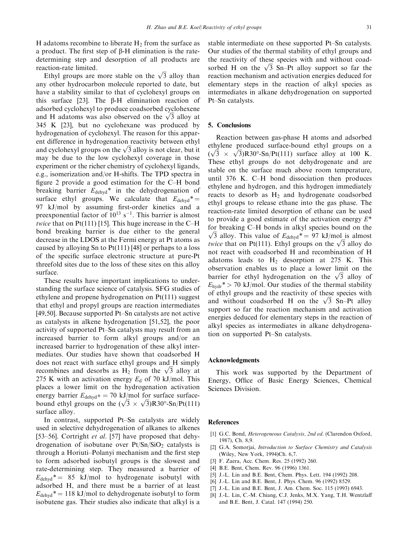H adatoms recombine to liberate  $H_2$  from the surface as a product. The first step of  $\beta$ -H elimination is the ratedetermining step and desorption of all products are reaction-rate limited.

cuon-rate inmited.<br>Ethyl groups are more stable on the  $\sqrt{3}$  alloy than any other hydrocarbon molecule reported to date, but have a stability similar to that of cyclohexyl groups on this surface  $[23]$ . The  $\beta$ -H elimination reaction of adsorbed cyclohexyl to produce coadsorbed cyclohexene adsorbed cyclonexyl to produce coadsorbed cyclonexene<br>and H adatoms was also observed on the  $\sqrt{3}$  alloy at 345 K [23], but no cyclohexane was produced by hydrogenation of cyclohexyl. The reason for this apparent difference in hydrogenation reactivity between ethyl ent difference in nydrogenation reactivity between ethyr and cyclohexyl groups on the  $\sqrt{3}$  alloy is not clear, but it may be due to the low cyclohexyl coverage in those experiment or the richer chemistry of cyclohexyl ligands, e.g., isomerization and/or H-shifts. The TPD spectra in figure 2 provide a good estimation for the C–H bond breaking barrier  $E_{\text{dehyd}}^*$  in the dehydrogenation of surface ethyl groups. We calculate that  $E_{\text{dehvd}}^* =$ 97 kJ/mol by assuming first-order kinetics and a preexponential factor of  $10^{13}$  s<sup>-1</sup>. This barrier is almost twice that on  $Pt(111)$  [15]. This huge increase in the C–H bond breaking barrier is due either to the general decrease in the LDOS at the Fermi energy at Pt atoms as caused by alloying Sn to Pt(111) [48] or perhaps to a loss of the specific surface electronic structure at pure-Pt threefold sites due to the loss of these sites on this alloy surface.

These results have important implications to understanding the surface science of catalysis. SFG studies of ethylene and propene hydrogenation on Pt(111) suggest that ethyl and propyl groups are reaction intermediates [49,50]. Because supported Pt–Sn catalysts are not active as catalysts in alkene hydrogenation [51,52], the poor activity of supported Pt–Sn catalysts may result from an increased barrier to form alkyl groups and/or an increased barrier to hydrogenation of these alkyl intermediates. Our studies have shown that coadsorbed H does not react with surface ethyl groups and H simply does not react with surface ethyl groups and **H** simply recombines and desorbs as  $H_2$  from the  $\sqrt{3}$  alloy at 275 K with an activation energy  $E_d$  of 70 kJ/mol. This places a lower limit on the hydrogenation activation energy barrier  $E_{\text{dehyd}}$ \* = 70 kJ/mol for surface surfaceenergy barrier  $E_{\text{dehyd}}* = 70 \text{ KJ/mol}$  for surface surface-<br>bound ethyl groups on the  $(\sqrt{3} \times \sqrt{3})R30^{\circ}$ -Sn/Pt(111) surface alloy.

In contrast, supported Pt–Sn catalysts are widely used in selective dehydrogenation of alkanes to alkenes [53–56]. Cortright *et al.* [57] have proposed that dehydrogenation of isobutane over  $Pt/Sn/SiO<sub>2</sub>$  catalysts is through a Horiuti–Polanyi mechanism and the first step to form adsorbed isobutyl groups is the slowest and rate-determining step. They measured a barrier of  $E_{\text{dehyd}}^* = 85$  kJ/mol to hydrogenate isobutyl with adsorbed H, and there must be a barrier of at least  $E_{\text{dehvd}}$ <sup>\*</sup> = 118 kJ/mol to dehydrogenate isobutyl to form isobutene gas. Their studies also indicate that alkyl is a

stable intermediate on these supported Pt–Sn catalysts. Our studies of the thermal stability of ethyl groups and the reactivity of these species with and without coadthe reactivity of these species with and without coad-<br>sorbed H on the  $\sqrt{3}$  Sn–Pt alloy support so far the reaction mechanism and activation energies deduced for elementary steps in the reaction of alkyl species as intermediates in alkane dehydrogenation on supported Pt–Sn catalysts.

### 5. Conclusions

Reaction between gas-phase H atoms and adsorbed ethylene produced surface-bound ethyl groups on a ethylene produced surface-bound ethyl groups on a<br> $(\sqrt{3} \times \sqrt{3})R30^{\circ}$ -Sn/Pt(111) surface alloy at 100 K. These ethyl groups do not dehydrogenate and are stable on the surface much above room temperature, until 376 K. C–H bond dissociation then produces ethylene and hydrogen, and this hydrogen immediately reacts to desorb as  $H_2$  and hydrogenate coadsorbed ethyl groups to release ethane into the gas phase. The reaction-rate limited desorption of ethane can be used to provide a good estimate of the activation energy  $E^*$ for breaking  $C-H$  bonds in alkyl species bound on the For breaking C-H bonds in alkyl species bound on the  $\sqrt{3}$  alloy. This value of  $E_{\text{delayd}}$ <sup>\*</sup> = 97 kJ/mol is almost  $\sqrt{3}$  alloy. This value of  $E_{\text{delayd}} = 97$  KJ/mol is almost *twice* that on Pt(111). Ethyl groups on the  $\sqrt{3}$  alloy do not react with coadsorbed H and recombination of H adatoms leads to  $H_2$  desorption at 275 K. This observation enables us to place a lower limit on the barrier for ethyl hydrogenation on the  $\sqrt{3}$  alloy of  $E_{\text{hydr}}^* > 70 \text{ kJ/mol}$ . Our studies of the thermal stability of ethyl groups and the reactivity of these species with or etnyr groups and the reactivity of these species with<br>and without coadsorbed H on the  $\sqrt{3}$  Sn–Pt alloy support so far the reaction mechanism and activation energies deduced for elementary steps in the reaction of alkyl species as intermediates in alkane dehydrogenation on supported Pt–Sn catalysts.

#### Acknowledgments

This work was supported by the Department of Energy, Office of Basic Energy Sciences, Chemical Sciences Division.

## References

- [1] G.C. Bond, Heterogeneous Catalysis, 2nd ed. (Clarendon Oxford, 1987), Ch. 8,9.
- [2] G.A. Somorjai, Introduction to Surface Chemistry and Catalysis (Wiley, New York, 1994)Ch. 6,7.
- [3] F. Zaera, Acc. Chem. Res. 25 (1992) 260.
- [4] B.E. Bent, Chem. Rev. 96 (1996) 1361.
- [5] J.-L. Lin and B.E. Bent, Chem. Phys. Lett. 194 (1992) 208.
- [6] J.-L. Lin and B.E. Bent, J. Phys. Chem. 96 (1992) 8529.
- [7] J.-L. Lin and B.E. Bent, J. Am. Chem. Soc. 115 (1993) 6943.
- [8] J.-L. Lin, C.-M. Chiang, C.J. Jenks, M.X. Yang, T.H. Wentzlaff and B.E. Bent, J. Catal. 147 (1994) 250.